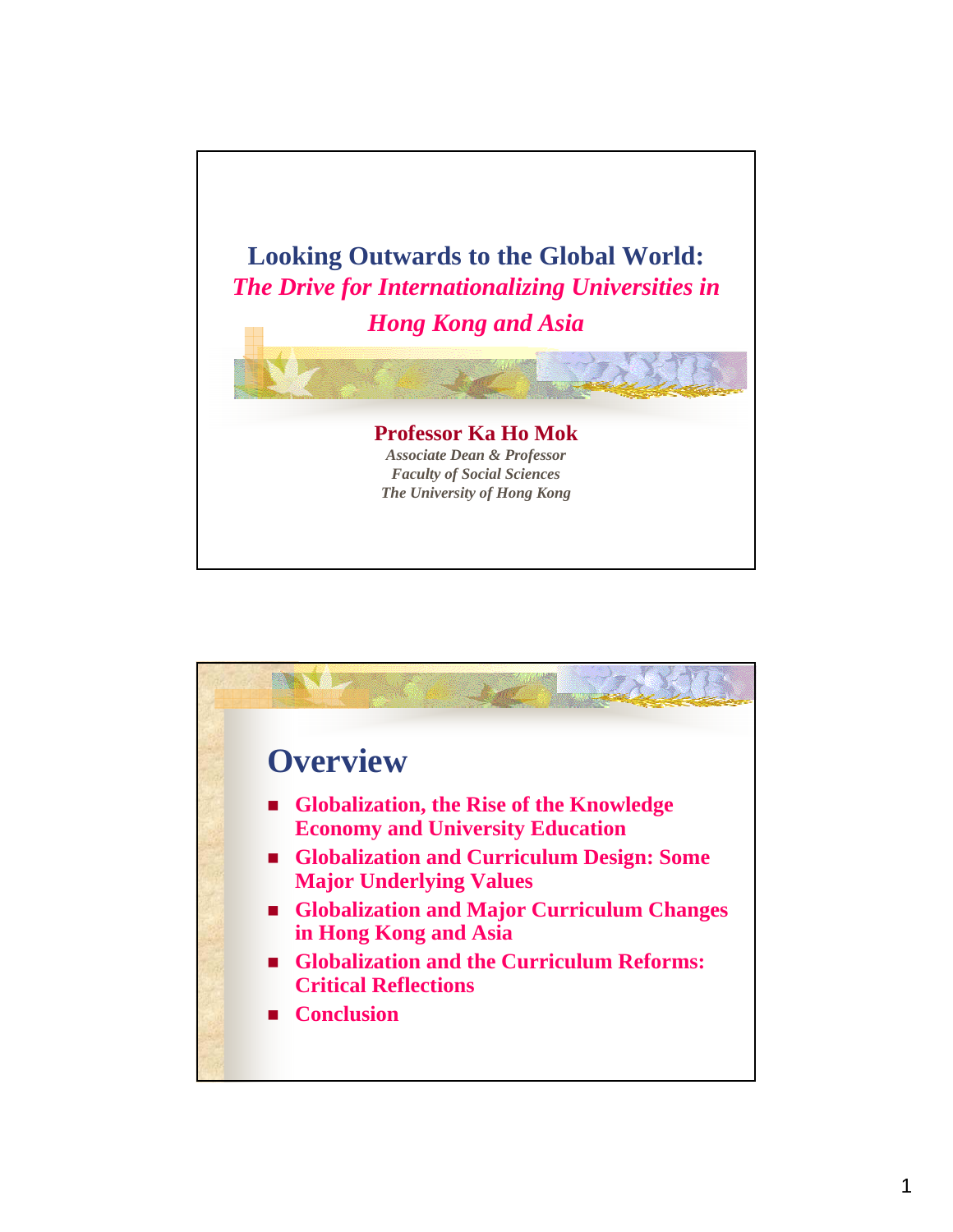

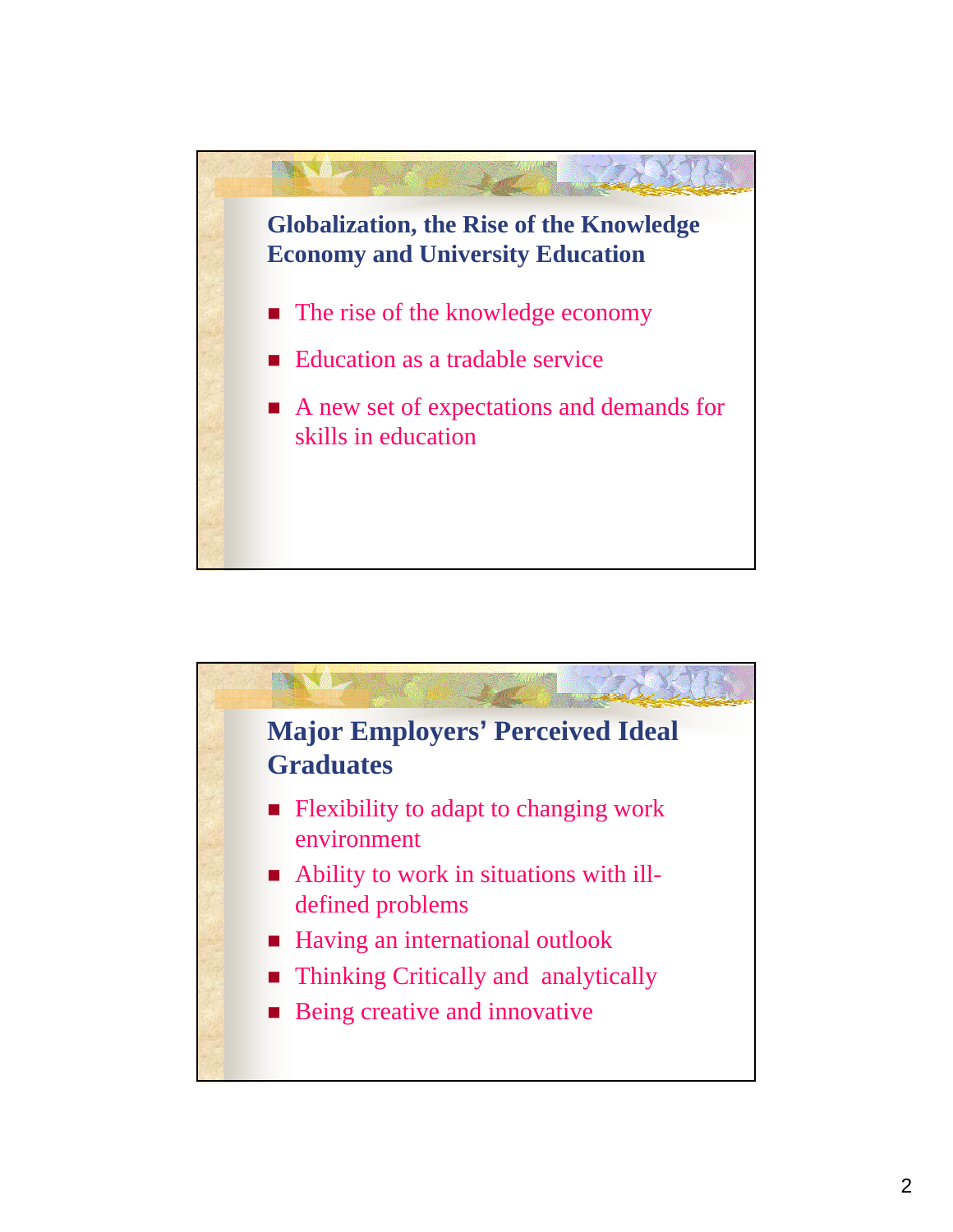

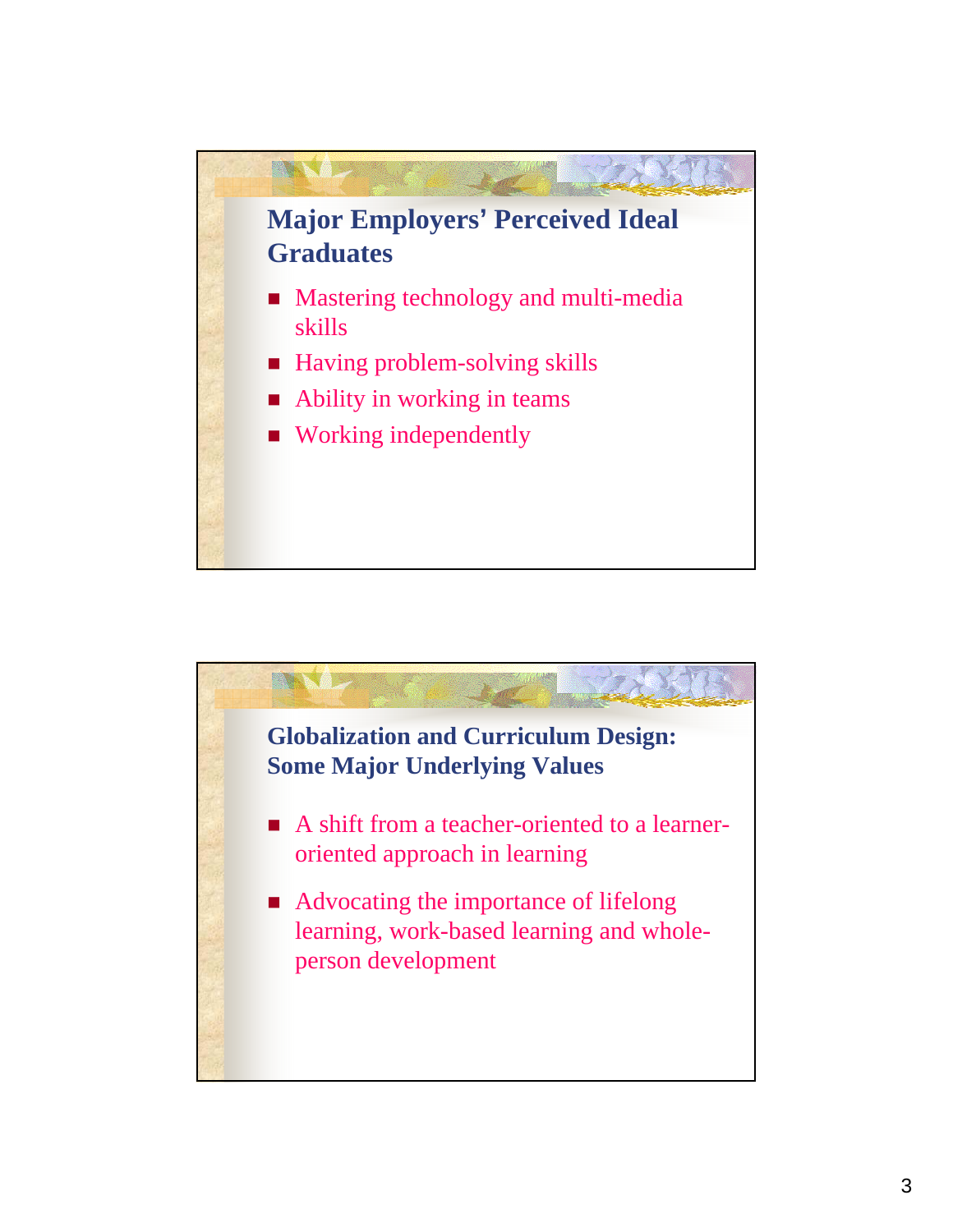

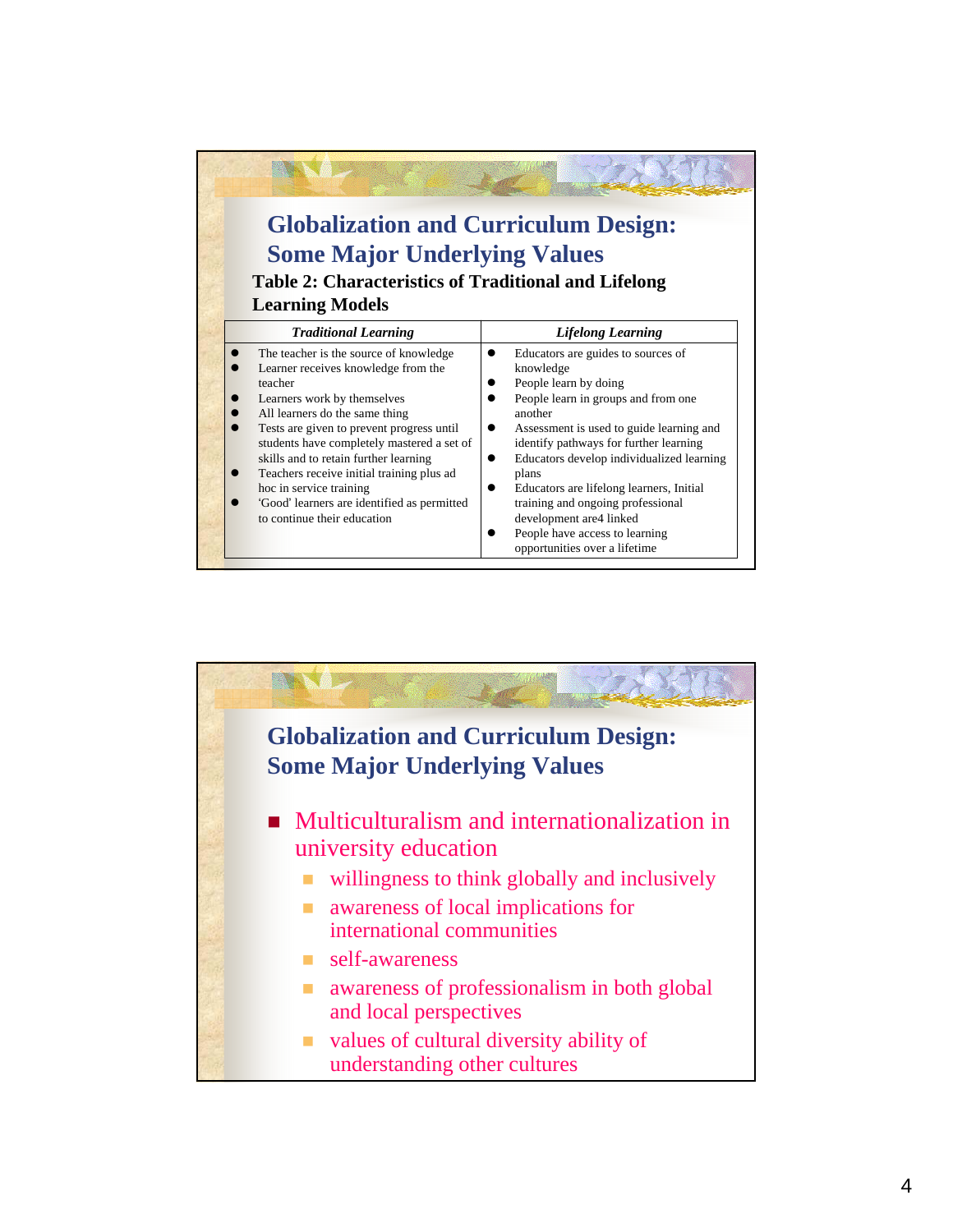| <b>Globalization and Curriculum Design:</b><br><b>Some Major Underlying Values</b><br><b>Table 2: Characteristics of Traditional and Lifelong</b><br><b>Learning Models</b>                                                                                                                                                                                                                                                                         |                                                                                                                                                                                                                                                                                                                                                                                                                                                        |
|-----------------------------------------------------------------------------------------------------------------------------------------------------------------------------------------------------------------------------------------------------------------------------------------------------------------------------------------------------------------------------------------------------------------------------------------------------|--------------------------------------------------------------------------------------------------------------------------------------------------------------------------------------------------------------------------------------------------------------------------------------------------------------------------------------------------------------------------------------------------------------------------------------------------------|
| <b>Traditional Learning</b>                                                                                                                                                                                                                                                                                                                                                                                                                         | <b>Lifelong Learning</b>                                                                                                                                                                                                                                                                                                                                                                                                                               |
| The teacher is the source of knowledge<br>Learner receives knowledge from the<br>teacher<br>Learners work by themselves<br>All learners do the same thing<br>Tests are given to prevent progress until<br>students have completely mastered a set of<br>skills and to retain further learning<br>Teachers receive initial training plus ad<br>hoc in service training<br>'Good' learners are identified as permitted<br>to continue their education | Educators are guides to sources of<br>knowledge<br>People learn by doing<br>People learn in groups and from one<br>another<br>Assessment is used to guide learning and<br>identify pathways for further learning<br>Educators develop individualized learning<br>plans<br>Educators are lifelong learners, Initial<br>training and ongoing professional<br>development are 4 linked<br>People have access to learning<br>opportunities over a lifetime |

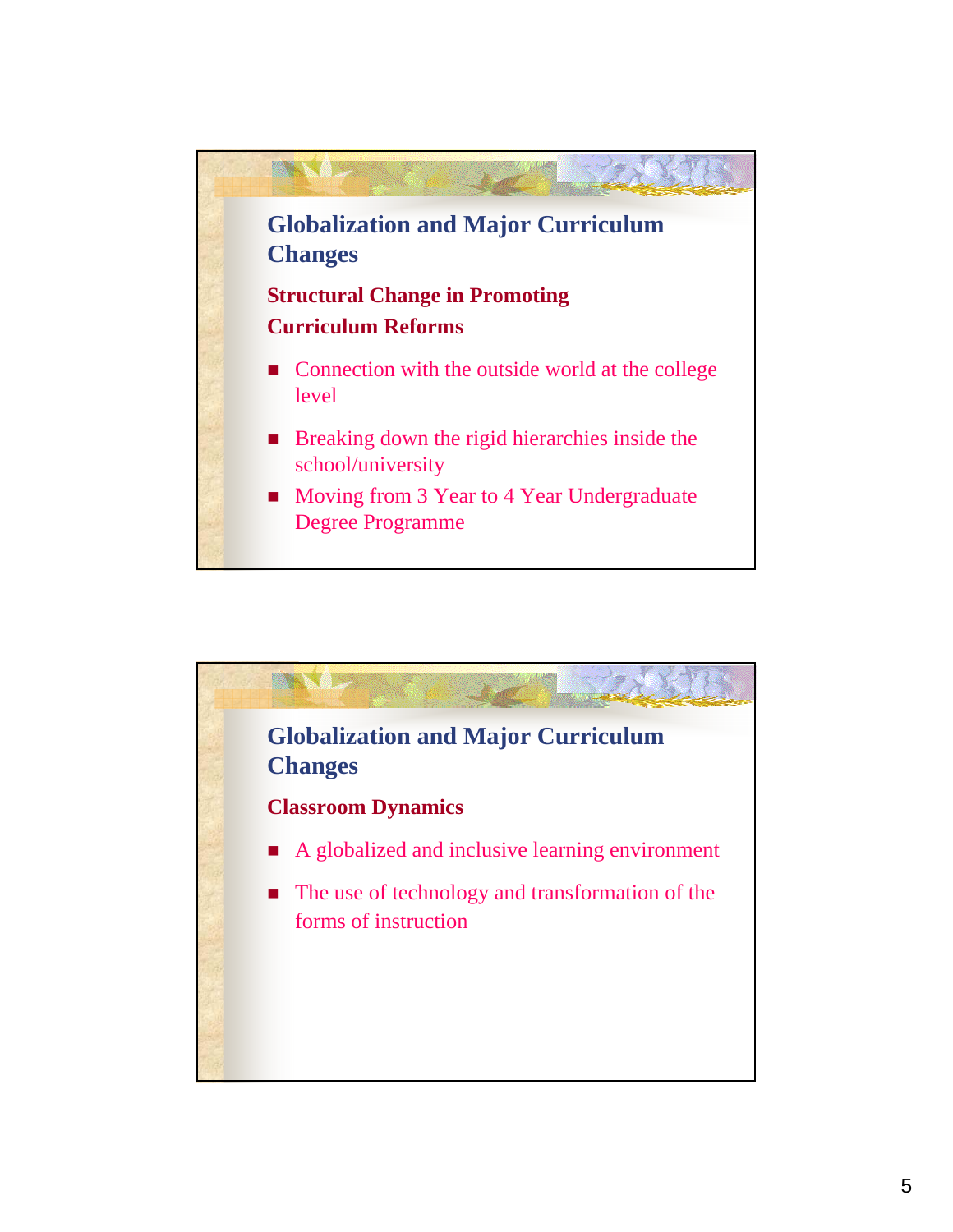

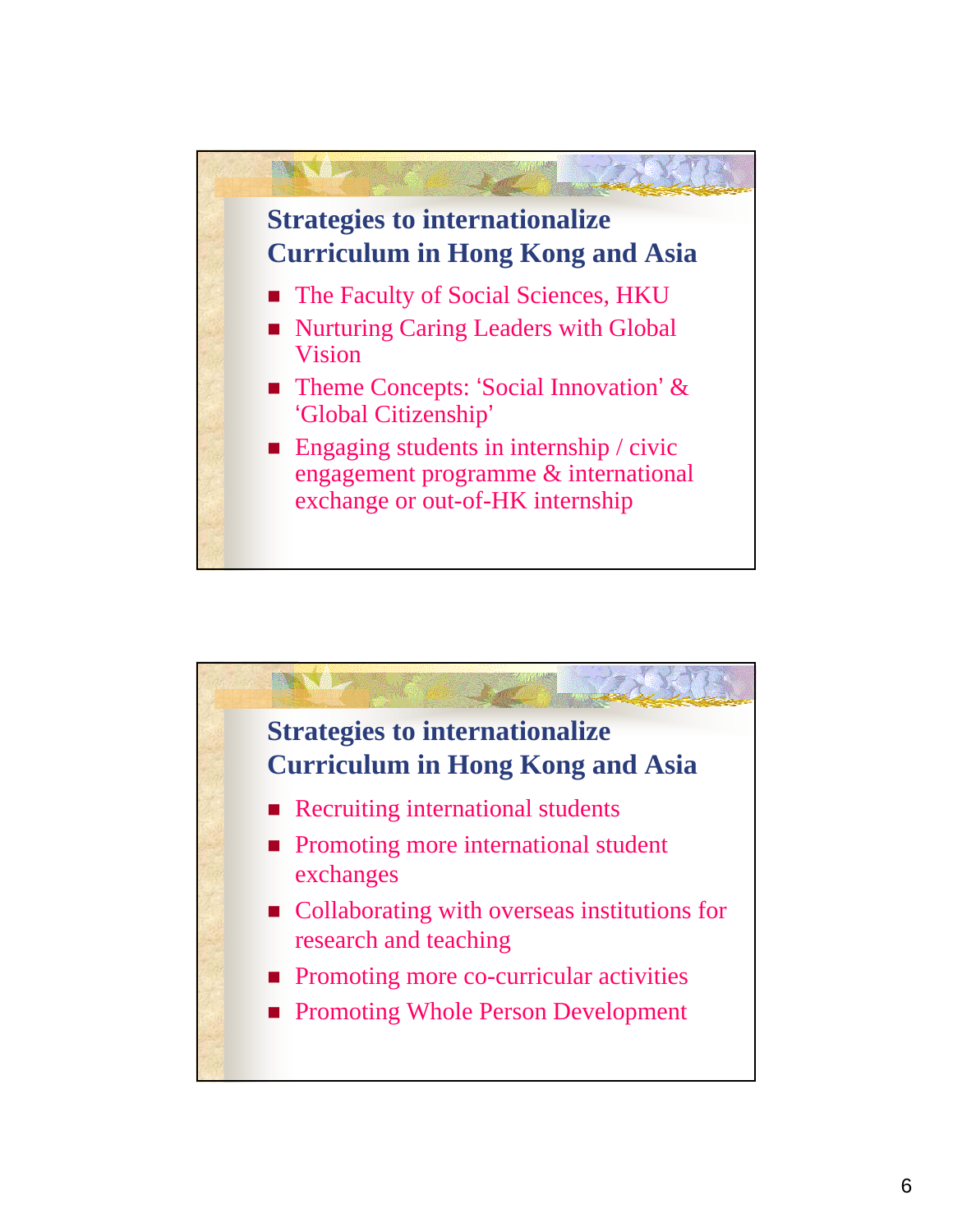

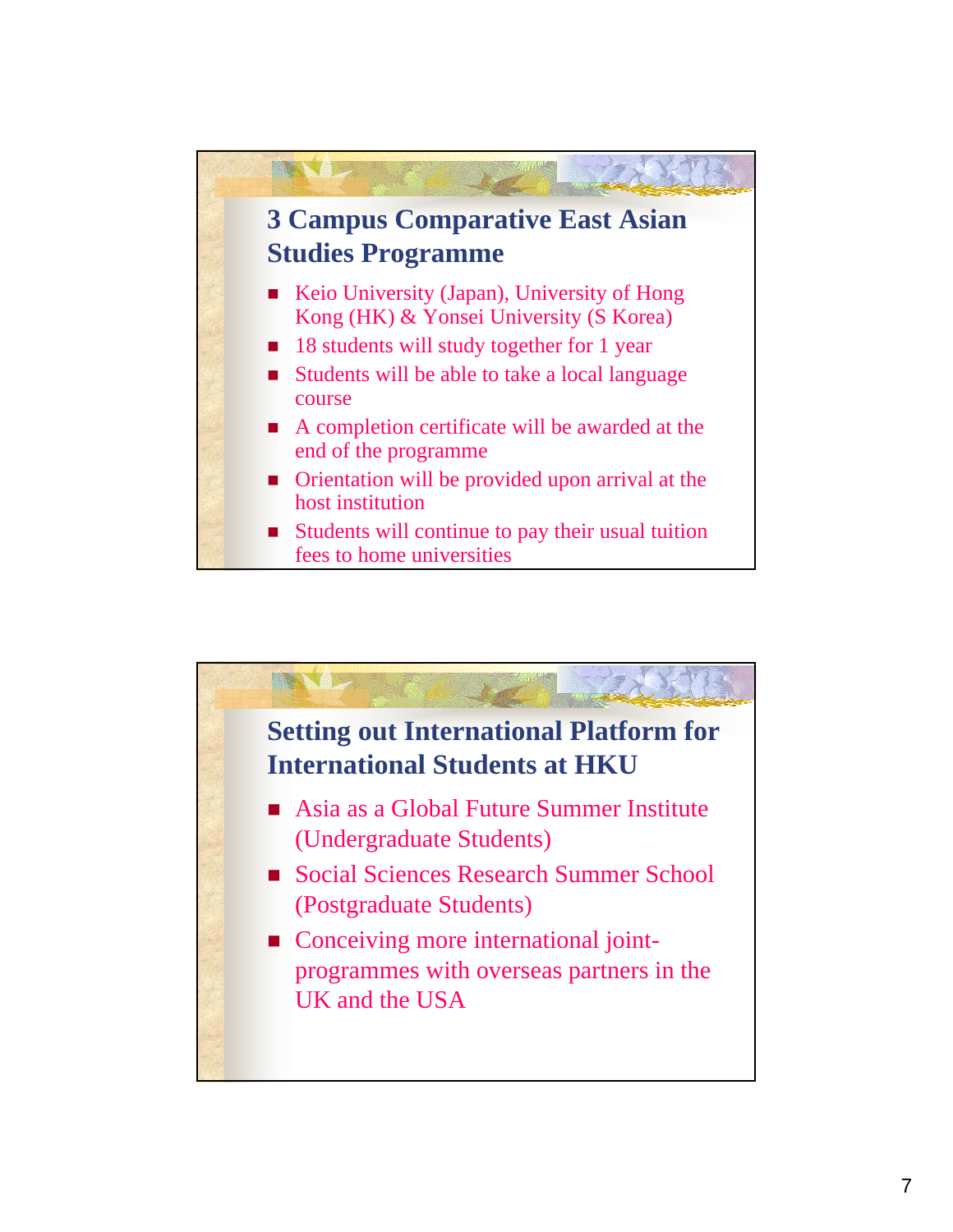

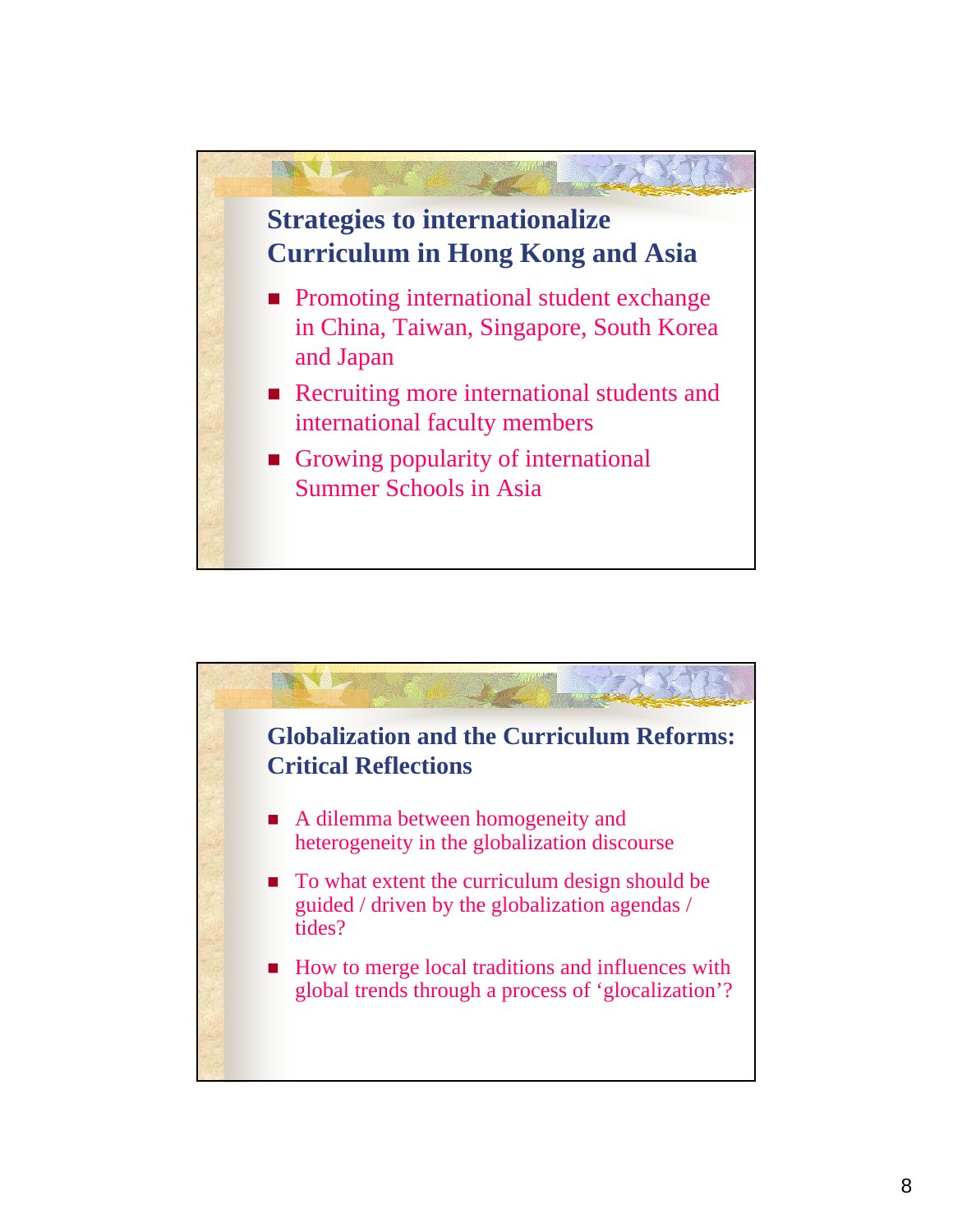